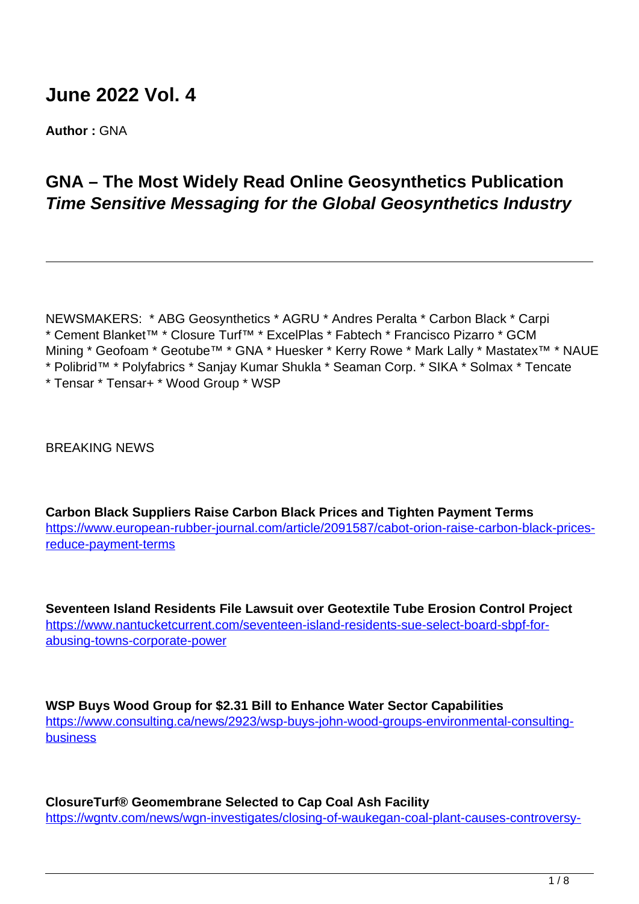# **June 2022 Vol. 4**

**Author :** GNA

## **GNA – The Most Widely Read Online Geosynthetics Publication Time Sensitive Messaging for the Global Geosynthetics Industry**

NEWSMAKERS: \* ABG Geosynthetics \* AGRU \* Andres Peralta \* Carbon Black \* Carpi \* Cement Blanket™ \* Closure Turf™ \* ExcelPlas \* Fabtech \* Francisco Pizarro \* GCM Mining \* Geofoam \* Geotube™ \* GNA \* Huesker \* Kerry Rowe \* Mark Lally \* Mastatex™ \* NAUE \* Polibrid™ \* Polyfabrics \* Sanjay Kumar Shukla \* Seaman Corp. \* SIKA \* Solmax \* Tencate \* Tensar \* Tensar+ \* Wood Group \* WSP

BREAKING NEWS

**Carbon Black Suppliers Raise Carbon Black Prices and Tighten Payment Terms** [https://www.european-rubber-journal.com/article/2091587/cabot-orion-raise-carbon-black-prices](https://www.european-rubber-journal.com/article/2091587/cabot-orion-raise-carbon-black-prices-reduce-payment-terms)[reduce-payment-terms](https://www.european-rubber-journal.com/article/2091587/cabot-orion-raise-carbon-black-prices-reduce-payment-terms)

**Seventeen Island Residents File Lawsuit over Geotextile Tube Erosion Control Project** https://www.nantucketcurrent.com/seventeen-island-residents-sue-select-board-sbpf-forabusing-towns-corporate-power

**WSP Buys Wood Group for \$2.31 Bill to Enhance Water Sector Capabilities** https://www.consulting.ca/news/2923/wsp-buys-john-wood-groups-environmental-consultingbusiness

**ClosureTurf® Geomembrane Selected to Cap Coal Ash Facility** https://wgntv.com/news/wgn-investigates/closing-of-waukegan-coal-plant-causes-controversy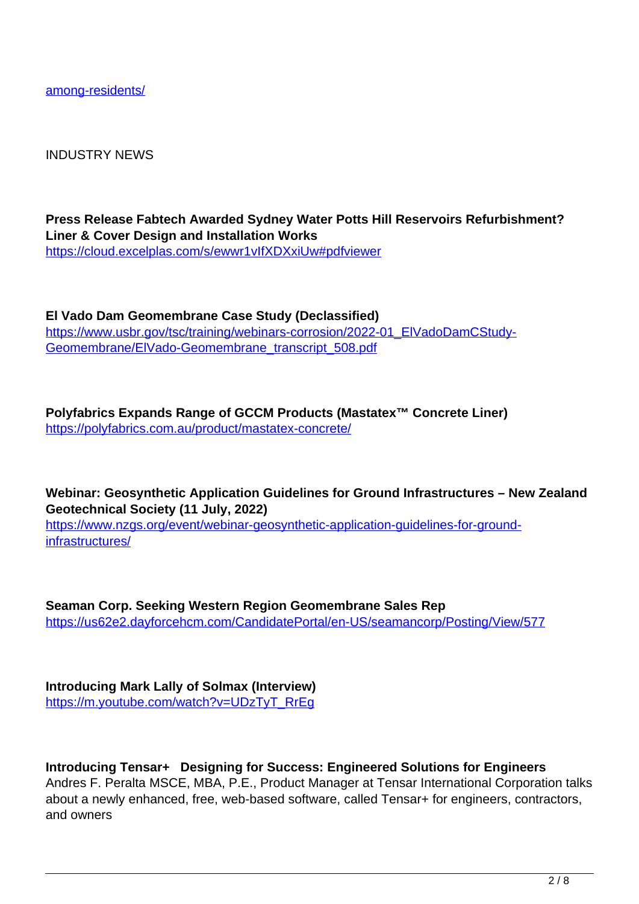among-residents/

INDUSTRY NEWS

**Press Release Fabtech Awarded Sydney Water Potts Hill Reservoirs Refurbishment? Liner & Cover Design and Installation Works** https://cloud.excelplas.com/s/ewwr1vIfXDXxiUw#pdfviewer

**El Vado Dam Geomembrane Case Study (Declassified)** https://www.usbr.gov/tsc/training/webinars-corrosion/2022-01\_ElVadoDamCStudy-Geomembrane/ElVado-Geomembrane\_transcript\_508.pdf

**Polyfabrics Expands Range of GCCM Products (Mastatex™ Concrete Liner)** https://polyfabrics.com.au/product/mastatex-concrete/

**Webinar: Geosynthetic Application Guidelines for Ground Infrastructures – New Zealand Geotechnical Society (11 July, 2022)** https://www.nzgs.org/event/webinar-geosynthetic-application-guidelines-for-groundinfrastructures/

**Seaman Corp. Seeking Western Region Geomembrane Sales Rep** https://us62e2.dayforcehcm.com/CandidatePortal/en-US/seamancorp/Posting/View/577

**Introducing Mark Lally of Solmax (Interview)** https://m.youtube.com/watch?v=UDzTyT\_RrEg

**Introducing Tensar+ Designing for Success: Engineered Solutions for Engineers** Andres F. Peralta MSCE, MBA, P.E., Product Manager at Tensar International Corporation talks about a newly enhanced, free, web-based software, called Tensar+ for engineers, contractors, and owners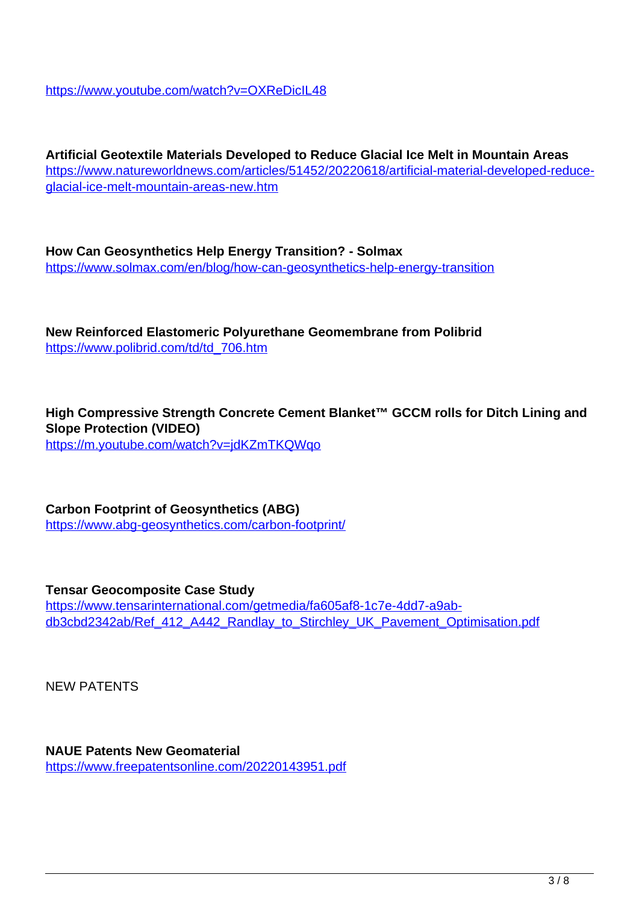https://www.youtube.com/watch?v=OXReDicIL48

**Artificial Geotextile Materials Developed to Reduce Glacial Ice Melt in Mountain Areas** https://www.natureworldnews.com/articles/51452/20220618/artificial-material-developed-reduceglacial-ice-melt-mountain-areas-new.htm

**How Can Geosynthetics Help Energy Transition? - Solmax** https://www.solmax.com/en/blog/how-can-geosynthetics-help-energy-transition

**New Reinforced Elastomeric Polyurethane Geomembrane from Polibrid** https://www.polibrid.com/td/td\_706.htm

**High Compressive Strength Concrete Cement Blanket™ GCCM rolls for Ditch Lining and Slope Protection (VIDEO)** https://m.youtube.com/watch?v=jdKZmTKQWqo

**Carbon Footprint of Geosynthetics (ABG)** https://www.abg-geosynthetics.com/carbon-footprint/

**Tensar Geocomposite Case Study** https://www.tensarinternational.com/getmedia/fa605af8-1c7e-4dd7-a9abdb3cbd2342ab/Ref\_412\_A442\_Randlay\_to\_Stirchley\_UK\_Pavement\_Optimisation.pdf

NEW PATENTS

**NAUE Patents New Geomaterial** https://www.freepatentsonline.com/20220143951.pdf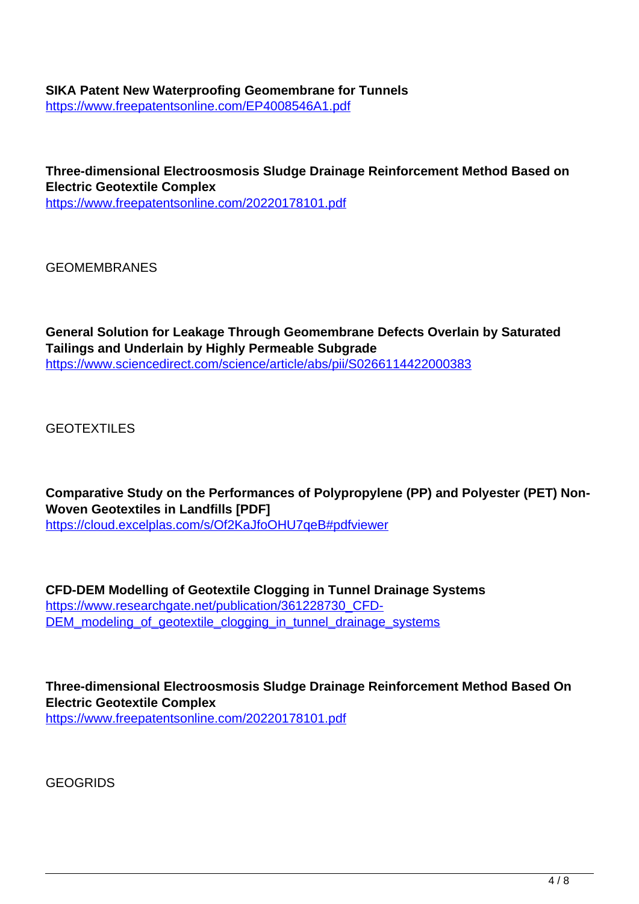#### **SIKA Patent New Waterproofing Geomembrane for Tunnels** https://www.freepatentsonline.com/EP4008546A1.pdf

**Three-dimensional Electroosmosis Sludge Drainage Reinforcement Method Based on Electric Geotextile Complex** https://www.freepatentsonline.com/20220178101.pdf

GEOMEMBRANES

**General Solution for Leakage Through Geomembrane Defects Overlain by Saturated Tailings and Underlain by Highly Permeable Subgrade** https://www.sciencedirect.com/science/article/abs/pii/S0266114422000383

GEOTEXTILES

**Comparative Study on the Performances of Polypropylene (PP) and Polyester (PET) Non-Woven Geotextiles in Landfills [PDF]** https://cloud.excelplas.com/s/Of2KaJfoOHU7qeB#pdfviewer

**CFD-DEM Modelling of Geotextile Clogging in Tunnel Drainage Systems** https://www.researchgate.net/publication/361228730\_CFD-DEM\_modeling\_of\_geotextile\_clogging\_in\_tunnel\_drainage\_systems

**Three-dimensional Electroosmosis Sludge Drainage Reinforcement Method Based On Electric Geotextile Complex** https://www.freepatentsonline.com/20220178101.pdf

GEOGRIDS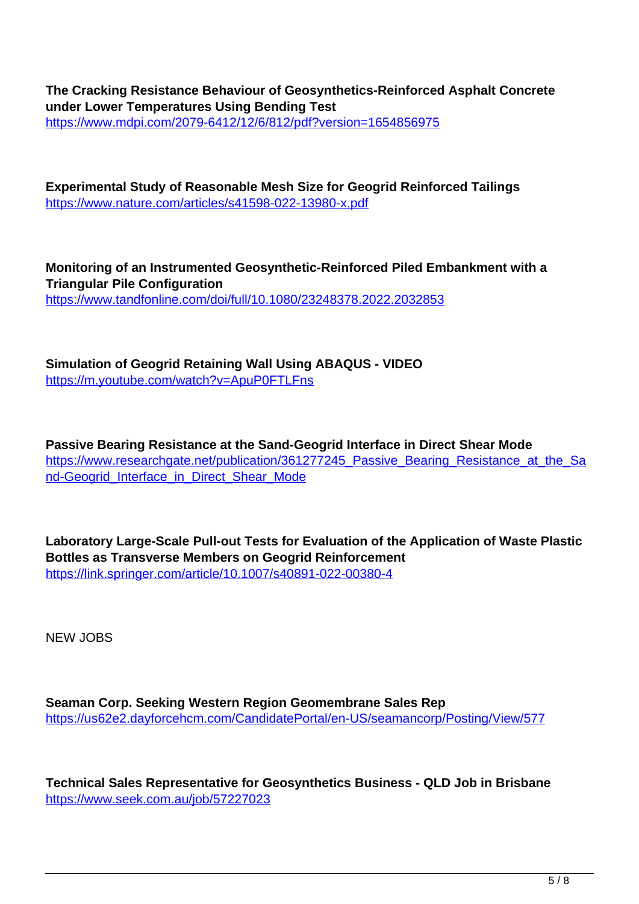**The Cracking Resistance Behaviour of Geosynthetics-Reinforced Asphalt Concrete under Lower Temperatures Using Bending Test** https://www.mdpi.com/2079-6412/12/6/812/pdf?version=1654856975

**Experimental Study of Reasonable Mesh Size for Geogrid Reinforced Tailings** https://www.nature.com/articles/s41598-022-13980-x.pdf

**Monitoring of an Instrumented Geosynthetic-Reinforced Piled Embankment with a Triangular Pile Configuration** https://www.tandfonline.com/doi/full/10.1080/23248378.2022.2032853

**Simulation of Geogrid Retaining Wall Using ABAQUS - VIDEO** https://m.youtube.com/watch?v=ApuP0FTLFns

**Passive Bearing Resistance at the Sand-Geogrid Interface in Direct Shear Mode** https://www.researchgate.net/publication/361277245 Passive Bearing Resistance at the Sa nd-Geogrid\_Interface\_in\_Direct\_Shear\_Mode

**Laboratory Large-Scale Pull-out Tests for Evaluation of the Application of Waste Plastic Bottles as Transverse Members on Geogrid Reinforcement** https://link.springer.com/article/10.1007/s40891-022-00380-4

NEW JOBS

**Seaman Corp. Seeking Western Region Geomembrane Sales Rep** https://us62e2.dayforcehcm.com/CandidatePortal/en-US/seamancorp/Posting/View/577

**Technical Sales Representative for Geosynthetics Business - QLD Job in Brisbane** https://www.seek.com.au/job/57227023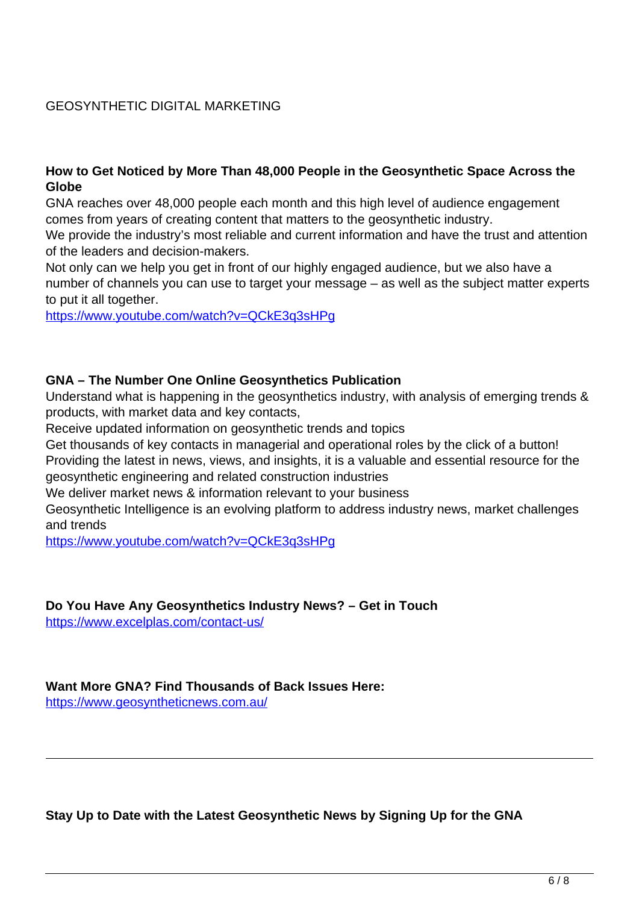## GEOSYNTHETIC DIGITAL MARKETING

#### **How to Get Noticed by More Than 48,000 People in the Geosynthetic Space Across the Globe**

GNA reaches over 48,000 people each month and this high level of audience engagement comes from years of creating content that matters to the geosynthetic industry.

We provide the industry's most reliable and current information and have the trust and attention of the leaders and decision-makers.

Not only can we help you get in front of our highly engaged audience, but we also have a number of channels you can use to target your message – as well as the subject matter experts to put it all together.

https://www.youtube.com/watch?v=QCkE3q3sHPg

#### **GNA – The Number One Online Geosynthetics Publication**

Understand what is happening in the geosynthetics industry, with analysis of emerging trends & products, with market data and key contacts,

Receive updated information on geosynthetic trends and topics

Get thousands of key contacts in managerial and operational roles by the click of a button! Providing the latest in news, views, and insights, it is a valuable and essential resource for the geosynthetic engineering and related construction industries

We deliver market news & information relevant to your business

Geosynthetic Intelligence is an evolving platform to address industry news, market challenges and trends

https://www.youtube.com/watch?v=QCkE3q3sHPg

#### **Do You Have Any Geosynthetics Industry News? – Get in Touch**

https://www.excelplas.com/contact-us/

#### **Want More GNA? Find Thousands of Back Issues Here:**

https://www.geosyntheticnews.com.au/

**Stay Up to Date with the Latest Geosynthetic News by Signing Up for the GNA**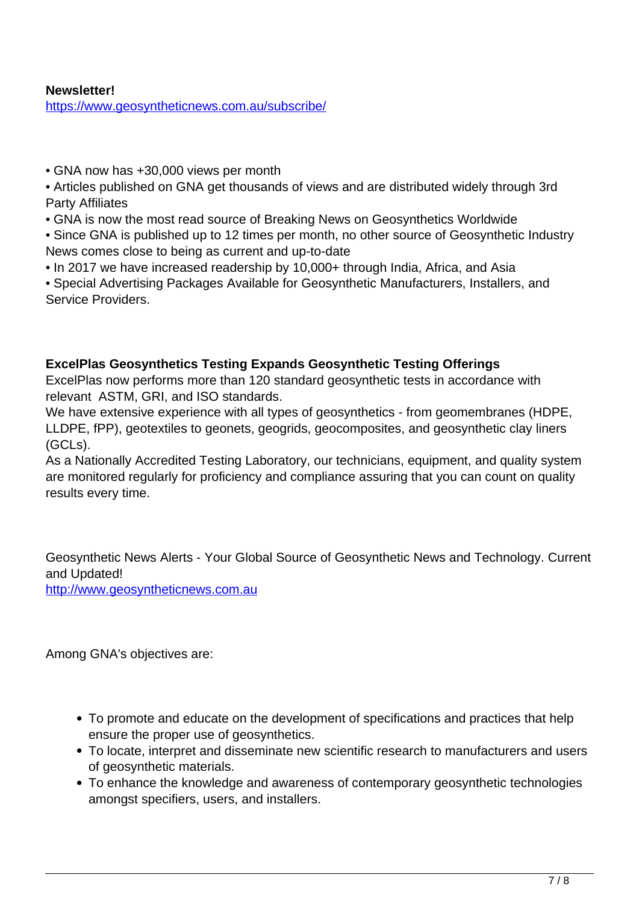#### **Newsletter!** https://www.geosyntheticnews.com.au/subscribe/

- GNA now has +30,000 views per month
- Articles published on GNA get thousands of views and are distributed widely through 3rd Party Affiliates
- GNA is now the most read source of Breaking News on Geosynthetics Worldwide
- Since GNA is published up to 12 times per month, no other source of Geosynthetic Industry News comes close to being as current and up-to-date
- In 2017 we have increased readership by 10,000+ through India, Africa, and Asia
- Special Advertising Packages Available for Geosynthetic Manufacturers, Installers, and Service Providers.

## **ExcelPlas Geosynthetics Testing Expands Geosynthetic Testing Offerings**

ExcelPlas now performs more than 120 standard geosynthetic tests in accordance with relevant ASTM, GRI, and ISO standards.

We have extensive experience with all types of geosynthetics - from geomembranes (HDPE, LLDPE, fPP), geotextiles to geonets, geogrids, geocomposites, and geosynthetic clay liners (GCLs).

As a Nationally Accredited Testing Laboratory, our technicians, equipment, and quality system are monitored regularly for proficiency and compliance assuring that you can count on quality results every time.

Geosynthetic News Alerts - Your Global Source of Geosynthetic News and Technology. Current and Updated!

http://www.geosyntheticnews.com.au

Among GNA's objectives are:

- To promote and educate on the development of specifications and practices that help ensure the proper use of geosynthetics.
- To locate, interpret and disseminate new scientific research to manufacturers and users of geosynthetic materials.
- To enhance the knowledge and awareness of contemporary geosynthetic technologies amongst specifiers, users, and installers.